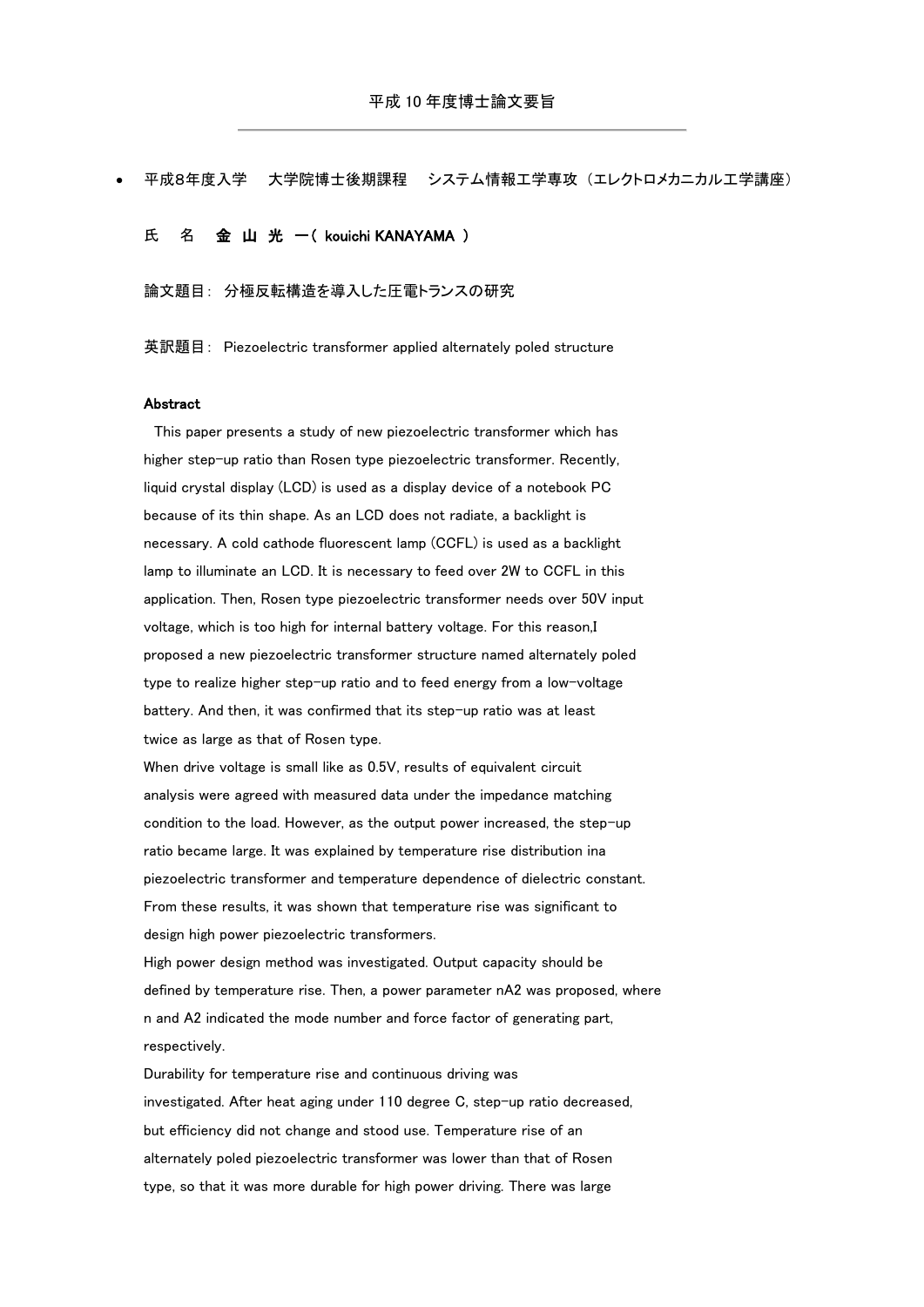|  |  |  |  | 平成8年度入学 大学院博士後期課程 システム情報工学専攻(エレクトロメカニカル工学講座) |
|--|--|--|--|----------------------------------------------|
|--|--|--|--|----------------------------------------------|

氏 名 金 山 光 一 ( kouichi KANAYAMA )

論文題目: 分極反転構造を導入した圧電トランスの研究

英訳題目: Piezoelectric transformer applied alternately poled structure

## Abstract

This paper presents a study of new piezoelectric transformer which has higher step-up ratio than Rosen type piezoelectric transformer. Recently, liquid crystal display (LCD) is used as a display device of a notebook PC because of its thin shape. As an LCD does not radiate, a backlight is necessary. A cold cathode fluorescent lamp (CCFL) is used as a backlight lamp to illuminate an LCD. It is necessary to feed over 2W to CCFL in this application. Then, Rosen type piezoelectric transformer needs over 50V input voltage, which is too high for internal battery voltage. For this reason,I proposed a new piezoelectric transformer structure named alternately poled type to realize higher step-up ratio and to feed energy from a low-voltage battery. And then, it was confirmed that its step-up ratio was at least twice as large as that of Rosen type.

When drive voltage is small like as 0.5V, results of equivalent circuit analysis were agreed with measured data under the impedance matching condition to the load. However, as the output power increased, the step-up ratio became large. It was explained by temperature rise distribution ina piezoelectric transformer and temperature dependence of dielectric constant. From these results, it was shown that temperature rise was significant to design high power piezoelectric transformers.

High power design method was investigated. Output capacity should be defined by temperature rise. Then, a power parameter nA2 was proposed, where n and A2 indicated the mode number and force factor of generating part, respectively.

Durability for temperature rise and continuous driving was investigated. After heat aging under 110 degree C, step-up ratio decreased, but efficiency did not change and stood use. Temperature rise of an alternately poled piezoelectric transformer was lower than that of Rosen type, so that it was more durable for high power driving. There was large